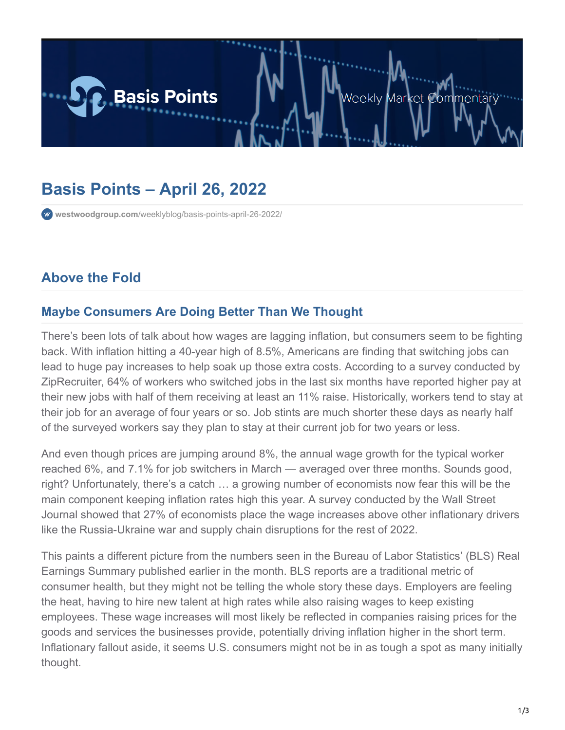

# **Basis Points – April 26, 2022**

**westwoodgroup.com**[/weeklyblog/basis-points-april-26-2022/](https://westwoodgroup.com/weeklyblog/basis-points-april-26-2022/)

# **Above the Fold**

#### **Maybe Consumers Are Doing Better Than We Thought**

There's been lots of talk about how wages are lagging inflation, but consumers seem to be fighting back. With inflation hitting a 40-year high of 8.5%, Americans are finding that switching jobs can lead to huge pay increases to help soak up those extra costs. According to a survey conducted by ZipRecruiter, 64% of workers who switched jobs in the last six months have reported higher pay at their new jobs with half of them receiving at least an 11% raise. Historically, workers tend to stay at their job for an average of four years or so. Job stints are much shorter these days as nearly half of the surveyed workers say they plan to stay at their current job for two years or less.

And even though prices are jumping around 8%, the annual wage growth for the typical worker reached 6%, and 7.1% for job switchers in March — averaged over three months. Sounds good, right? Unfortunately, there's a catch … a growing number of economists now fear this will be the main component keeping inflation rates high this year. A survey conducted by the Wall Street Journal showed that 27% of economists place the wage increases above other inflationary drivers like the Russia-Ukraine war and supply chain disruptions for the rest of 2022.

This paints a different picture from the numbers seen in the Bureau of Labor Statistics' (BLS) Real Earnings Summary published earlier in the month. BLS reports are a traditional metric of consumer health, but they might not be telling the whole story these days. Employers are feeling the heat, having to hire new talent at high rates while also raising wages to keep existing employees. These wage increases will most likely be reflected in companies raising prices for the goods and services the businesses provide, potentially driving inflation higher in the short term. Inflationary fallout aside, it seems U.S. consumers might not be in as tough a spot as many initially thought.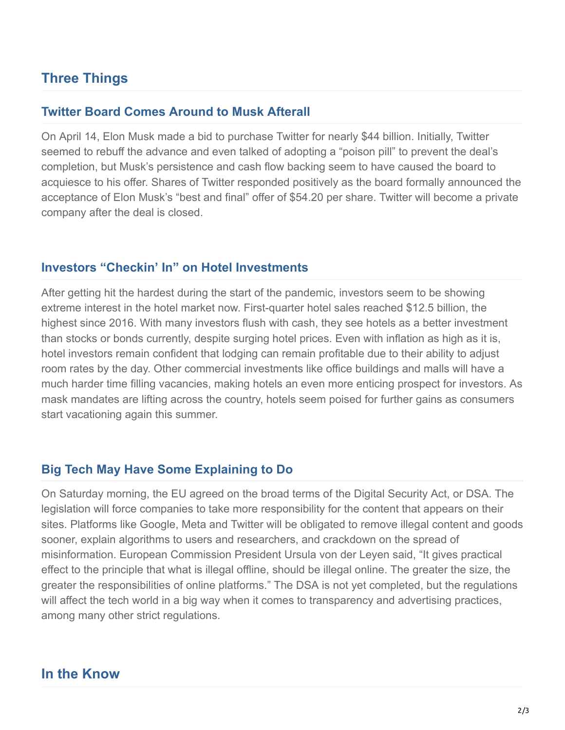## **Three Things**

#### **Twitter Board Comes Around to Musk Afterall**

On April 14, Elon Musk made a bid to purchase Twitter for nearly \$44 billion. Initially, Twitter seemed to rebuff the advance and even talked of adopting a "poison pill" to prevent the deal's completion, but Musk's persistence and cash flow backing seem to have caused the board to acquiesce to his offer. Shares of Twitter responded positively as the board formally announced the acceptance of Elon Musk's "best and final" offer of \$54.20 per share. Twitter will become a private company after the deal is closed.

#### **Investors "Checkin' In" on Hotel Investments**

After getting hit the hardest during the start of the pandemic, investors seem to be showing extreme interest in the hotel market now. First-quarter hotel sales reached \$12.5 billion, the highest since 2016. With many investors flush with cash, they see hotels as a better investment than stocks or bonds currently, despite surging hotel prices. Even with inflation as high as it is, hotel investors remain confident that lodging can remain profitable due to their ability to adjust room rates by the day. Other commercial investments like office buildings and malls will have a much harder time filling vacancies, making hotels an even more enticing prospect for investors. As mask mandates are lifting across the country, hotels seem poised for further gains as consumers start vacationing again this summer.

#### **Big Tech May Have Some Explaining to Do**

On Saturday morning, the EU agreed on the broad terms of the Digital Security Act, or DSA. The legislation will force companies to take more responsibility for the content that appears on their sites. Platforms like Google, Meta and Twitter will be obligated to remove illegal content and goods sooner, explain algorithms to users and researchers, and crackdown on the spread of misinformation. European Commission President Ursula von der Leyen said, "It gives practical effect to the principle that what is illegal offline, should be illegal online. The greater the size, the greater the responsibilities of online platforms." The DSA is not yet completed, but the regulations will affect the tech world in a big way when it comes to transparency and advertising practices, among many other strict regulations.

### **In the Know**